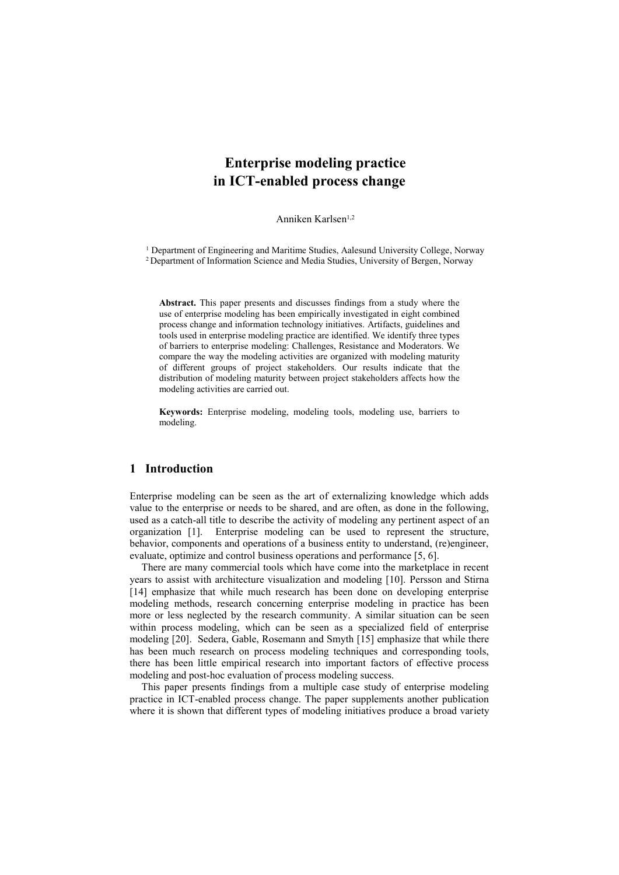# **Enterprise modeling practice in ICT-enabled process change**

Anniken Karlsen<sup>1,2</sup>

<sup>1</sup> Department of Engineering and Maritime Studies, Aalesund University College, Norway <sup>2</sup> Department of Information Science and Media Studies, University of Bergen, Norway

**Abstract.** This paper presents and discusses findings from a study where the use of enterprise modeling has been empirically investigated in eight combined process change and information technology initiatives. Artifacts, guidelines and tools used in enterprise modeling practice are identified. We identify three types of barriers to enterprise modeling: Challenges, Resistance and Moderators. We compare the way the modeling activities are organized with modeling maturity of different groups of project stakeholders. Our results indicate that the distribution of modeling maturity between project stakeholders affects how the modeling activities are carried out.

**Keywords:** Enterprise modeling, modeling tools, modeling use, barriers to modeling.

# **1 Introduction**

Enterprise modeling can be seen as the art of externalizing knowledge which adds value to the enterprise or needs to be shared, and are often, as done in the following, used as a catch-all title to describe the activity of modeling any pertinent aspect of an organization [1]. Enterprise modeling can be used to represent the structure, behavior, components and operations of a business entity to understand, (re)engineer, evaluate, optimize and control business operations and performance [5, 6].

There are many commercial tools which have come into the marketplace in recent years to assist with architecture visualization and modeling [10]. Persson and Stirna [14] emphasize that while much research has been done on developing enterprise modeling methods, research concerning enterprise modeling in practice has been more or less neglected by the research community. A similar situation can be seen within process modeling, which can be seen as a specialized field of enterprise modeling [20]. Sedera, Gable, Rosemann and Smyth [15] emphasize that while there has been much research on process modeling techniques and corresponding tools, there has been little empirical research into important factors of effective process modeling and post-hoc evaluation of process modeling success.

This paper presents findings from a multiple case study of enterprise modeling practice in ICT-enabled process change. The paper supplements another publication where it is shown that different types of modeling initiatives produce a broad variety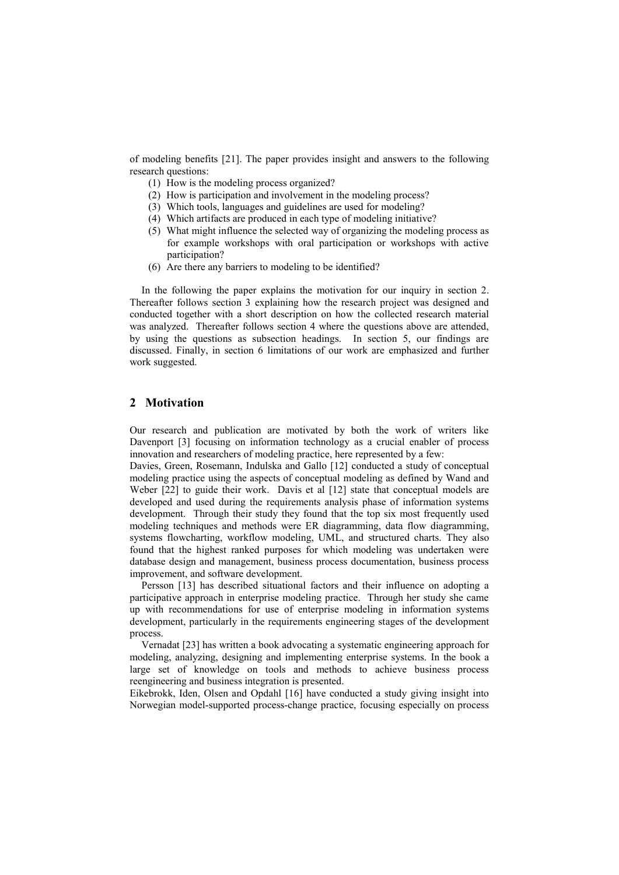of modeling benefits [21]. The paper provides insight and answers to the following research questions:

- (1) How is the modeling process organized?
- (2) How is participation and involvement in the modeling process?
- (3) Which tools, languages and guidelines are used for modeling?
- (4) Which artifacts are produced in each type of modeling initiative?
- (5) What might influence the selected way of organizing the modeling process as for example workshops with oral participation or workshops with active participation?
- (6) Are there any barriers to modeling to be identified?

In the following the paper explains the motivation for our inquiry in section 2. Thereafter follows section 3 explaining how the research project was designed and conducted together with a short description on how the collected research material was analyzed. Thereafter follows section 4 where the questions above are attended, by using the questions as subsection headings. In section 5, our findings are discussed. Finally, in section 6 limitations of our work are emphasized and further work suggested.

# **2 Motivation**

Our research and publication are motivated by both the work of writers like Davenport [3] focusing on information technology as a crucial enabler of process innovation and researchers of modeling practice, here represented by a few:

Davies, Green, Rosemann, Indulska and Gallo [12] conducted a study of conceptual modeling practice using the aspects of conceptual modeling as defined by Wand and Weber [22] to guide their work. Davis et al [12] state that conceptual models are developed and used during the requirements analysis phase of information systems development. Through their study they found that the top six most frequently used modeling techniques and methods were ER diagramming, data flow diagramming, systems flowcharting, workflow modeling, UML, and structured charts. They also found that the highest ranked purposes for which modeling was undertaken were database design and management, business process documentation, business process improvement, and software development.

Persson [13] has described situational factors and their influence on adopting a participative approach in enterprise modeling practice. Through her study she came up with recommendations for use of enterprise modeling in information systems development, particularly in the requirements engineering stages of the development process.

Vernadat [23] has written a book advocating a systematic engineering approach for modeling, analyzing, designing and implementing enterprise systems. In the book a large set of knowledge on tools and methods to achieve business process reengineering and business integration is presented.

Eikebrokk, Iden, Olsen and Opdahl [16] have conducted a study giving insight into Norwegian model-supported process-change practice, focusing especially on process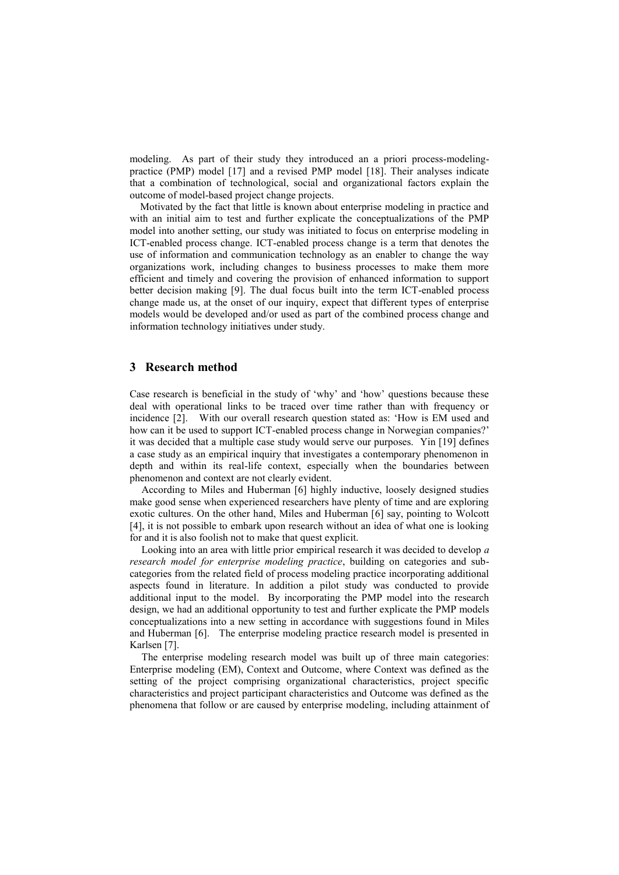modeling. As part of their study they introduced an a priori process-modelingpractice (PMP) model [17] and a revised PMP model [18]. Their analyses indicate that a combination of technological, social and organizational factors explain the outcome of model-based project change projects.

 Motivated by the fact that little is known about enterprise modeling in practice and with an initial aim to test and further explicate the conceptualizations of the PMP model into another setting, our study was initiated to focus on enterprise modeling in ICT-enabled process change. ICT-enabled process change is a term that denotes the use of information and communication technology as an enabler to change the way organizations work, including changes to business processes to make them more efficient and timely and covering the provision of enhanced information to support better decision making [9]. The dual focus built into the term ICT-enabled process change made us, at the onset of our inquiry, expect that different types of enterprise models would be developed and/or used as part of the combined process change and information technology initiatives under study.

## **3 Research method**

Case research is beneficial in the study of 'why' and 'how' questions because these deal with operational links to be traced over time rather than with frequency or incidence [2]. With our overall research question stated as: 'How is EM used and how can it be used to support ICT-enabled process change in Norwegian companies?' it was decided that a multiple case study would serve our purposes. Yin [19] defines a case study as an empirical inquiry that investigates a contemporary phenomenon in depth and within its real-life context, especially when the boundaries between phenomenon and context are not clearly evident.

According to Miles and Huberman [6] highly inductive, loosely designed studies make good sense when experienced researchers have plenty of time and are exploring exotic cultures. On the other hand, Miles and Huberman [6] say, pointing to Wolcott [4], it is not possible to embark upon research without an idea of what one is looking for and it is also foolish not to make that quest explicit.

Looking into an area with little prior empirical research it was decided to develop *a research model for enterprise modeling practice*, building on categories and subcategories from the related field of process modeling practice incorporating additional aspects found in literature. In addition a pilot study was conducted to provide additional input to the model. By incorporating the PMP model into the research design, we had an additional opportunity to test and further explicate the PMP models conceptualizations into a new setting in accordance with suggestions found in Miles and Huberman [6]. The enterprise modeling practice research model is presented in Karlsen [7].

The enterprise modeling research model was built up of three main categories: Enterprise modeling (EM), Context and Outcome, where Context was defined as the setting of the project comprising organizational characteristics, project specific characteristics and project participant characteristics and Outcome was defined as the phenomena that follow or are caused by enterprise modeling, including attainment of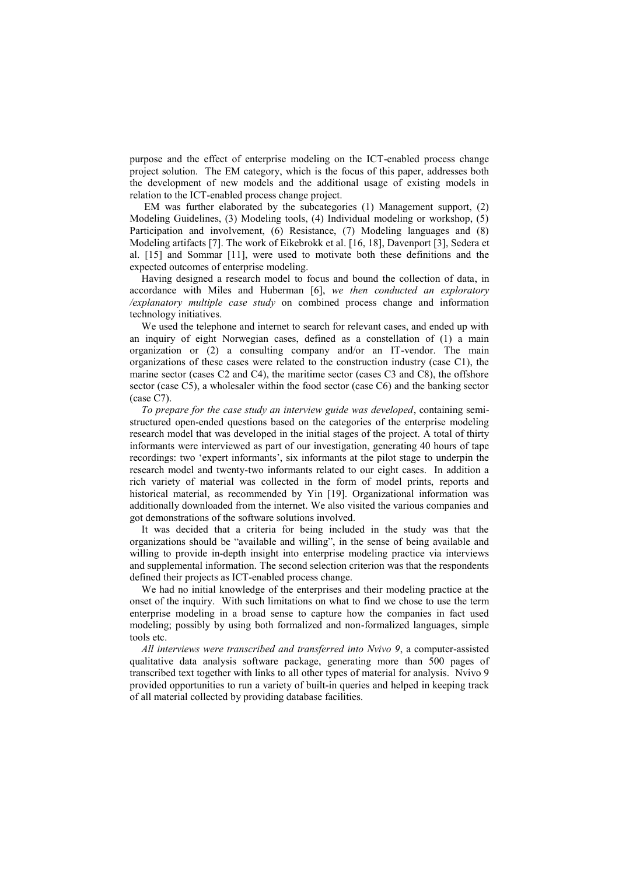purpose and the effect of enterprise modeling on the ICT-enabled process change project solution. The EM category, which is the focus of this paper, addresses both the development of new models and the additional usage of existing models in relation to the ICT-enabled process change project.

EM was further elaborated by the subcategories (1) Management support, (2) Modeling Guidelines, (3) Modeling tools, (4) Individual modeling or workshop, (5) Participation and involvement, (6) Resistance, (7) Modeling languages and (8) Modeling artifacts [7]. The work of Eikebrokk et al. [16, 18], Davenport [3], Sedera et al. [15] and Sommar [11], were used to motivate both these definitions and the expected outcomes of enterprise modeling.

Having designed a research model to focus and bound the collection of data, in accordance with Miles and Huberman [6], *we then conducted an exploratory /explanatory multiple case study* on combined process change and information technology initiatives.

We used the telephone and internet to search for relevant cases, and ended up with an inquiry of eight Norwegian cases, defined as a constellation of (1) a main organization or (2) a consulting company and/or an IT-vendor. The main organizations of these cases were related to the construction industry (case C1), the marine sector (cases C2 and C4), the maritime sector (cases C3 and C8), the offshore sector (case C5), a wholesaler within the food sector (case C6) and the banking sector (case C7).

*To prepare for the case study an interview guide was developed*, containing semistructured open-ended questions based on the categories of the enterprise modeling research model that was developed in the initial stages of the project. A total of thirty informants were interviewed as part of our investigation, generating 40 hours of tape recordings: two ‗expert informants', six informants at the pilot stage to underpin the research model and twenty-two informants related to our eight cases. In addition a rich variety of material was collected in the form of model prints, reports and historical material, as recommended by Yin [19]. Organizational information was additionally downloaded from the internet. We also visited the various companies and got demonstrations of the software solutions involved.

It was decided that a criteria for being included in the study was that the organizations should be "available and willing", in the sense of being available and willing to provide in-depth insight into enterprise modeling practice via interviews and supplemental information. The second selection criterion was that the respondents defined their projects as ICT-enabled process change.

We had no initial knowledge of the enterprises and their modeling practice at the onset of the inquiry. With such limitations on what to find we chose to use the term enterprise modeling in a broad sense to capture how the companies in fact used modeling; possibly by using both formalized and non-formalized languages, simple tools etc.

*All interviews were transcribed and transferred into Nvivo 9*, a computer-assisted qualitative data analysis software package, generating more than 500 pages of transcribed text together with links to all other types of material for analysis. Nvivo 9 provided opportunities to run a variety of built-in queries and helped in keeping track of all material collected by providing database facilities.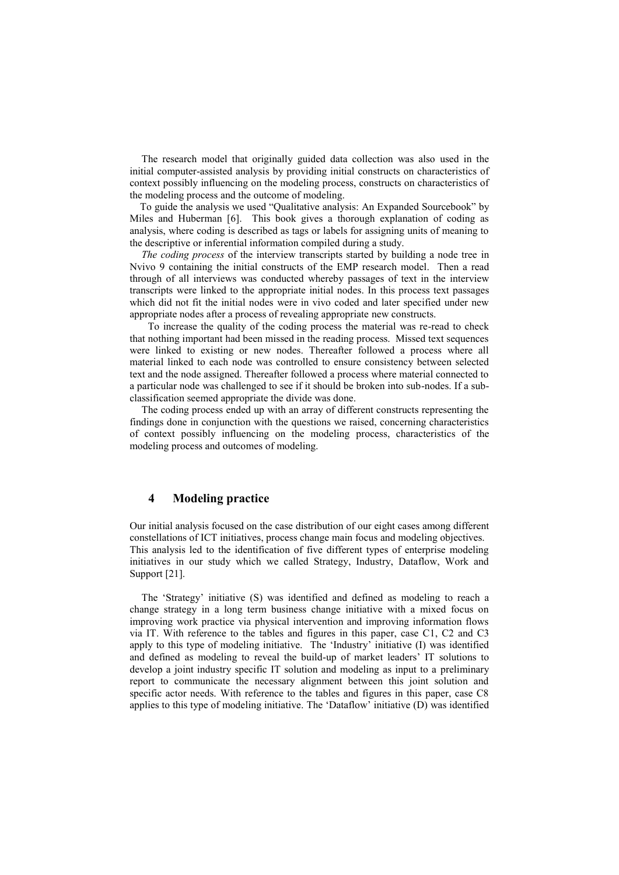The research model that originally guided data collection was also used in the initial computer-assisted analysis by providing initial constructs on characteristics of context possibly influencing on the modeling process, constructs on characteristics of the modeling process and the outcome of modeling.

To guide the analysis we used "Qualitative analysis: An Expanded Sourcebook" by Miles and Huberman [6]. This book gives a thorough explanation of coding as analysis, where coding is described as tags or labels for assigning units of meaning to the descriptive or inferential information compiled during a study.

*The coding process* of the interview transcripts started by building a node tree in Nvivo 9 containing the initial constructs of the EMP research model. Then a read through of all interviews was conducted whereby passages of text in the interview transcripts were linked to the appropriate initial nodes. In this process text passages which did not fit the initial nodes were in vivo coded and later specified under new appropriate nodes after a process of revealing appropriate new constructs.

 To increase the quality of the coding process the material was re-read to check that nothing important had been missed in the reading process. Missed text sequences were linked to existing or new nodes. Thereafter followed a process where all material linked to each node was controlled to ensure consistency between selected text and the node assigned. Thereafter followed a process where material connected to a particular node was challenged to see if it should be broken into sub-nodes. If a subclassification seemed appropriate the divide was done.

The coding process ended up with an array of different constructs representing the findings done in conjunction with the questions we raised, concerning characteristics of context possibly influencing on the modeling process, characteristics of the modeling process and outcomes of modeling.

#### **4 Modeling practice**

Our initial analysis focused on the case distribution of our eight cases among different constellations of ICT initiatives, process change main focus and modeling objectives. This analysis led to the identification of five different types of enterprise modeling initiatives in our study which we called Strategy, Industry, Dataflow, Work and Support [21].

The ‗Strategy' initiative (S) was identified and defined as modeling to reach a change strategy in a long term business change initiative with a mixed focus on improving work practice via physical intervention and improving information flows via IT. With reference to the tables and figures in this paper, case C1, C2 and C3 apply to this type of modeling initiative. The 'Industry' initiative (I) was identified and defined as modeling to reveal the build-up of market leaders' IT solutions to develop a joint industry specific IT solution and modeling as input to a preliminary report to communicate the necessary alignment between this joint solution and specific actor needs. With reference to the tables and figures in this paper, case C8 applies to this type of modeling initiative. The 'Dataflow' initiative  $(D)$  was identified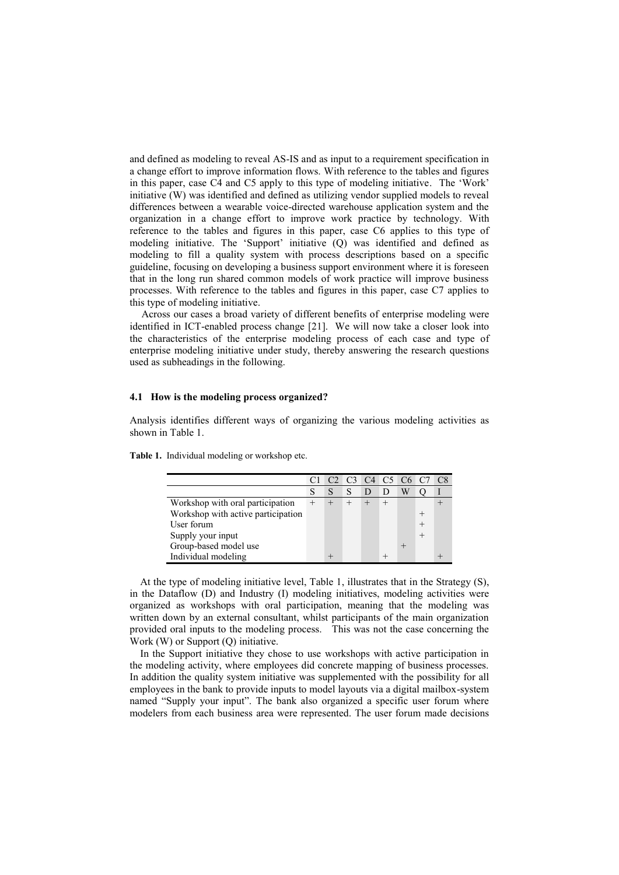and defined as modeling to reveal AS-IS and as input to a requirement specification in a change effort to improve information flows. With reference to the tables and figures in this paper, case C4 and C5 apply to this type of modeling initiative. The 'Work' initiative (W) was identified and defined as utilizing vendor supplied models to reveal differences between a wearable voice-directed warehouse application system and the organization in a change effort to improve work practice by technology. With reference to the tables and figures in this paper, case C6 applies to this type of modeling initiative. The 'Support' initiative (Q) was identified and defined as modeling to fill a quality system with process descriptions based on a specific guideline, focusing on developing a business support environment where it is foreseen that in the long run shared common models of work practice will improve business processes. With reference to the tables and figures in this paper, case C7 applies to this type of modeling initiative.

Across our cases a broad variety of different benefits of enterprise modeling were identified in ICT-enabled process change [21]. We will now take a closer look into the characteristics of the enterprise modeling process of each case and type of enterprise modeling initiative under study, thereby answering the research questions used as subheadings in the following.

#### **4.1 How is the modeling process organized?**

Analysis identifies different ways of organizing the various modeling activities as shown in Table 1.

|                                    |   |   |  | C <sub>2</sub> C <sub>3</sub> C <sub>4</sub> C <sub>5</sub> C <sub>6</sub> C <sub>7</sub> | C8 |
|------------------------------------|---|---|--|-------------------------------------------------------------------------------------------|----|
|                                    | S | S |  | W                                                                                         |    |
| Workshop with oral participation   |   |   |  |                                                                                           |    |
| Workshop with active participation |   |   |  |                                                                                           |    |
| User forum                         |   |   |  |                                                                                           |    |
| Supply your input                  |   |   |  |                                                                                           |    |
| Group-based model use              |   |   |  |                                                                                           |    |
| Individual modeling                |   |   |  |                                                                                           |    |

**Table 1.** Individual modeling or workshop etc.

 At the type of modeling initiative level, Table 1, illustrates that in the Strategy (S), in the Dataflow (D) and Industry (I) modeling initiatives, modeling activities were organized as workshops with oral participation, meaning that the modeling was written down by an external consultant, whilst participants of the main organization provided oral inputs to the modeling process. This was not the case concerning the Work (W) or Support (Q) initiative.

 In the Support initiative they chose to use workshops with active participation in the modeling activity, where employees did concrete mapping of business processes. In addition the quality system initiative was supplemented with the possibility for all employees in the bank to provide inputs to model layouts via a digital mailbox-system named "Supply your input". The bank also organized a specific user forum where modelers from each business area were represented. The user forum made decisions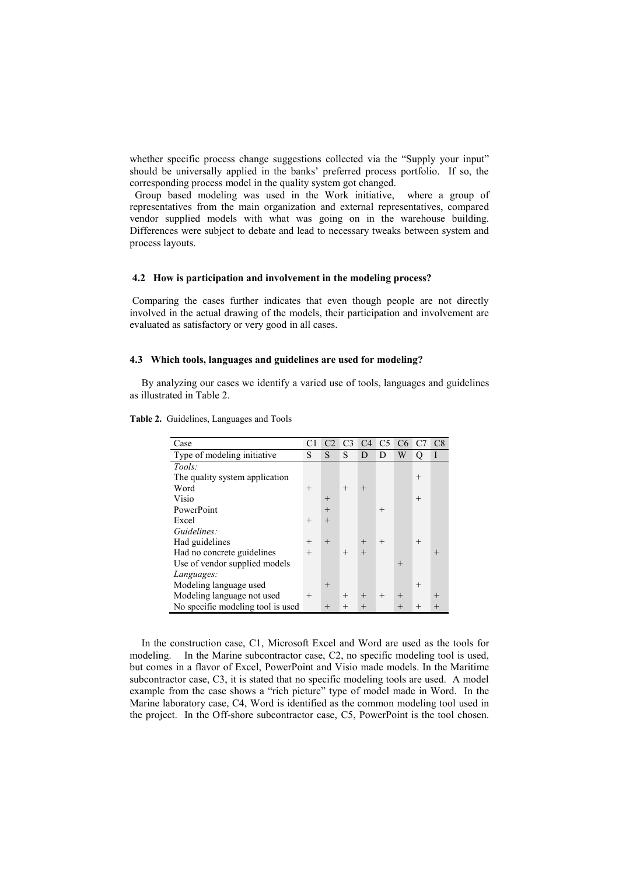whether specific process change suggestions collected via the "Supply your input" should be universally applied in the banks' preferred process portfolio. If so, the corresponding process model in the quality system got changed.

 Group based modeling was used in the Work initiative, where a group of representatives from the main organization and external representatives, compared vendor supplied models with what was going on in the warehouse building. Differences were subject to debate and lead to necessary tweaks between system and process layouts.

### **4.2 How is participation and involvement in the modeling process?**

Comparing the cases further indicates that even though people are not directly involved in the actual drawing of the models, their participation and involvement are evaluated as satisfactory or very good in all cases.

### **4.3 Which tools, languages and guidelines are used for modeling?**

By analyzing our cases we identify a varied use of tools, languages and guidelines as illustrated in Table 2.

| Case                               | C <sub>1</sub> |        | C3     | C4     | C <sub>5</sub> | C6     |        | C8     |
|------------------------------------|----------------|--------|--------|--------|----------------|--------|--------|--------|
| Type of modeling initiative        | S              | S      | S      | D      | D              | W      |        | I      |
| Tools:                             |                |        |        |        |                |        |        |        |
| The quality system application     |                |        |        |        |                |        | $^{+}$ |        |
| Word                               | $^{+}$         |        | $^{+}$ | $^{+}$ |                |        |        |        |
| Visio                              |                | $^{+}$ |        |        |                |        | $^{+}$ |        |
| PowerPoint                         |                | $^{+}$ |        |        | $^{+}$         |        |        |        |
| Excel                              | $^{+}$         | $^{+}$ |        |        |                |        |        |        |
| Guidelines:                        |                |        |        |        |                |        |        |        |
| Had guidelines                     | $^{+}$         | $^{+}$ |        | $^{+}$ | $^{+}$         |        | $^{+}$ |        |
| Had no concrete guidelines         | $^{+}$         |        | $^{+}$ | $^{+}$ |                |        |        | $^{+}$ |
| Use of vendor supplied models      |                |        |        |        |                | $^{+}$ |        |        |
| Languages:                         |                |        |        |        |                |        |        |        |
| Modeling language used             |                | $^{+}$ |        |        |                |        | $^{+}$ |        |
| Modeling language not used         | $^{+}$         |        | $^{+}$ | $^{+}$ | $^{+}$         | $^{+}$ |        | $^{+}$ |
| No specific modeling tool is used. |                | $^{+}$ | $^{+}$ | $^{+}$ |                |        | $^{+}$ |        |

**Table 2.** Guidelines, Languages and Tools

In the construction case, C1, Microsoft Excel and Word are used as the tools for modeling. In the Marine subcontractor case, C2, no specific modeling tool is used, but comes in a flavor of Excel, PowerPoint and Visio made models. In the Maritime subcontractor case, C3, it is stated that no specific modeling tools are used. A model example from the case shows a "rich picture" type of model made in Word. In the Marine laboratory case, C4, Word is identified as the common modeling tool used in the project. In the Off-shore subcontractor case, C5, PowerPoint is the tool chosen.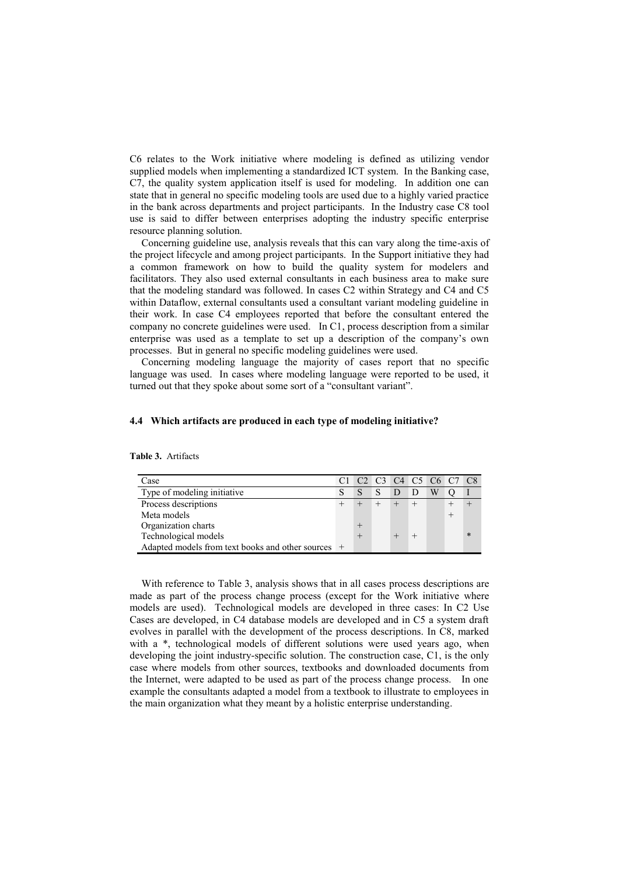C6 relates to the Work initiative where modeling is defined as utilizing vendor supplied models when implementing a standardized ICT system. In the Banking case, C7, the quality system application itself is used for modeling. In addition one can state that in general no specific modeling tools are used due to a highly varied practice in the bank across departments and project participants. In the Industry case C8 tool use is said to differ between enterprises adopting the industry specific enterprise resource planning solution.

Concerning guideline use, analysis reveals that this can vary along the time-axis of the project lifecycle and among project participants. In the Support initiative they had a common framework on how to build the quality system for modelers and facilitators. They also used external consultants in each business area to make sure that the modeling standard was followed. In cases C2 within Strategy and C4 and C5 within Dataflow, external consultants used a consultant variant modeling guideline in their work. In case C4 employees reported that before the consultant entered the company no concrete guidelines were used. In C1, process description from a similar enterprise was used as a template to set up a description of the company's own processes. But in general no specific modeling guidelines were used.

Concerning modeling language the majority of cases report that no specific language was used. In cases where modeling language were reported to be used, it turned out that they spoke about some sort of a "consultant variant".

#### **4.4 Which artifacts are produced in each type of modeling initiative?**

| Case                                               |   |   |   | C1 C2 C3 C4 C5 C6 C7 C8 |   |  |        |
|----------------------------------------------------|---|---|---|-------------------------|---|--|--------|
| Type of modeling initiative                        | S | S | S |                         | D |  |        |
| Process descriptions                               |   |   |   |                         |   |  |        |
| Meta models                                        |   |   |   |                         |   |  |        |
| Organization charts                                |   |   |   |                         |   |  |        |
| Technological models                               |   |   |   |                         |   |  | $\ast$ |
| Adapted models from text books and other sources + |   |   |   |                         |   |  |        |

**Table 3.** Artifacts

With reference to Table 3, analysis shows that in all cases process descriptions are made as part of the process change process (except for the Work initiative where models are used). Technological models are developed in three cases: In C2 Use Cases are developed, in C4 database models are developed and in C5 a system draft evolves in parallel with the development of the process descriptions. In C8, marked with a \*, technological models of different solutions were used years ago, when developing the joint industry-specific solution. The construction case, C1, is the only case where models from other sources, textbooks and downloaded documents from the Internet, were adapted to be used as part of the process change process. In one example the consultants adapted a model from a textbook to illustrate to employees in the main organization what they meant by a holistic enterprise understanding.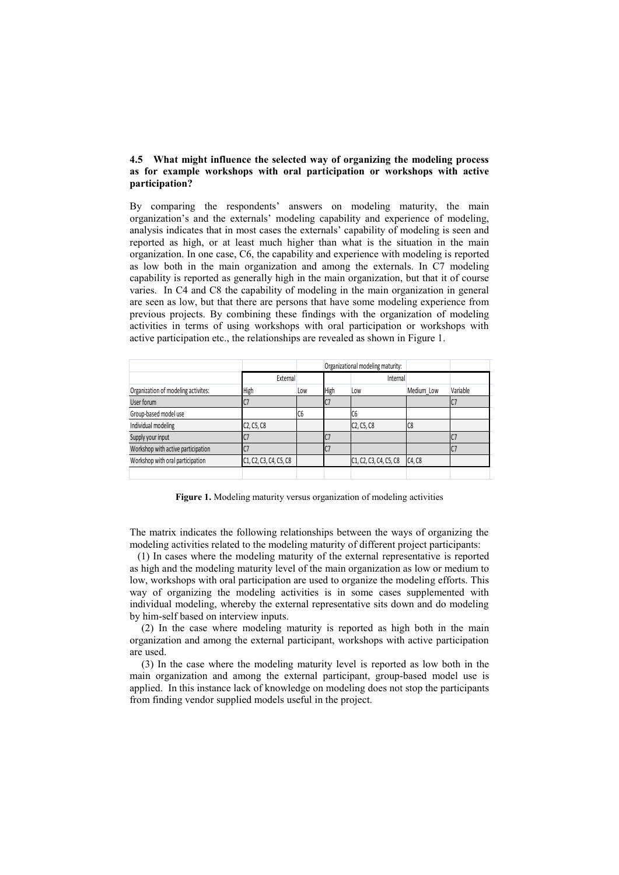### **4.5 What might influence the selected way of organizing the modeling process as for example workshops with oral participation or workshops with active participation?**

By comparing the respondents' answers on modeling maturity, the main organization's and the externals' modeling capability and experience of modeling, analysis indicates that in most cases the externals' capability of modeling is seen and reported as high, or at least much higher than what is the situation in the main organization. In one case, C6, the capability and experience with modeling is reported as low both in the main organization and among the externals. In C7 modeling capability is reported as generally high in the main organization, but that it of course varies. In C4 and C8 the capability of modeling in the main organization in general are seen as low, but that there are persons that have some modeling experience from previous projects. By combining these findings with the organization of modeling activities in terms of using workshops with oral participation or workshops with active participation etc., the relationships are revealed as shown in Figure 1.

|                                     |                                                  |     |      | Organizational modeling maturity:                |                |          |
|-------------------------------------|--------------------------------------------------|-----|------|--------------------------------------------------|----------------|----------|
|                                     | External                                         |     |      | Internal                                         |                |          |
| Organization of modeling activites: | High                                             | Low | High | Low                                              | Medium Low     | Variable |
| User forum                          | C <sub>7</sub>                                   |     | U    |                                                  |                |          |
| Group-based model use               |                                                  | IC6 |      | IC6                                              |                |          |
| Individual modeling                 | C <sub>2</sub> , C <sub>5</sub> , C <sub>8</sub> |     |      | C <sub>2</sub> , C <sub>5</sub> , C <sub>8</sub> | C <sub>8</sub> |          |
| Supply your input                   |                                                  |     |      |                                                  |                |          |
| Workshop with active participation  |                                                  |     |      |                                                  |                |          |
| Workshop with oral participation    | C1, C2, C3, C4, C5, C8                           |     |      | C1, C2, C3, C4, C5, C8                           | C4, C8         |          |
|                                     |                                                  |     |      |                                                  |                |          |

**Figure 1.** Modeling maturity versus organization of modeling activities

The matrix indicates the following relationships between the ways of organizing the modeling activities related to the modeling maturity of different project participants:

 (1) In cases where the modeling maturity of the external representative is reported as high and the modeling maturity level of the main organization as low or medium to low, workshops with oral participation are used to organize the modeling efforts. This way of organizing the modeling activities is in some cases supplemented with individual modeling, whereby the external representative sits down and do modeling by him-self based on interview inputs.

(2) In the case where modeling maturity is reported as high both in the main organization and among the external participant, workshops with active participation are used.

(3) In the case where the modeling maturity level is reported as low both in the main organization and among the external participant, group-based model use is applied. In this instance lack of knowledge on modeling does not stop the participants from finding vendor supplied models useful in the project.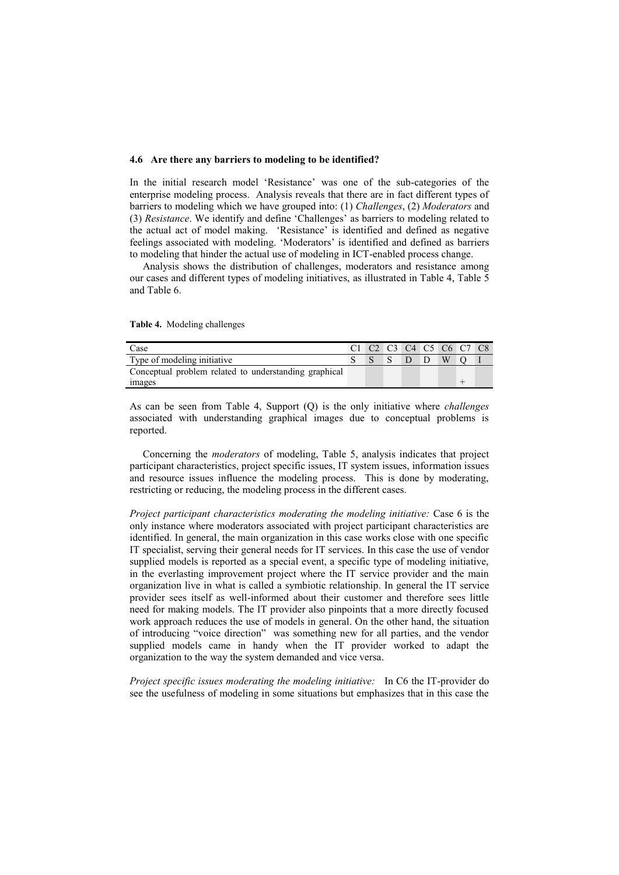#### **4.6 Are there any barriers to modeling to be identified?**

In the initial research model ‗Resistance' was one of the sub-categories of the enterprise modeling process. Analysis reveals that there are in fact different types of barriers to modeling which we have grouped into: (1) *Challenges*, (2) *Moderators* and (3) *Resistance*. We identify and define ‗Challenges' as barriers to modeling related to the actual act of model making. ‗Resistance' is identified and defined as negative feelings associated with modeling. 'Moderators' is identified and defined as barriers to modeling that hinder the actual use of modeling in ICT-enabled process change.

 Analysis shows the distribution of challenges, moderators and resistance among our cases and different types of modeling initiatives, as illustrated in Table 4, Table 5 and Table 6.

| Case                                                  | C1 C2 C3 C4 C5 C6 C7 C8 |  |  |  |
|-------------------------------------------------------|-------------------------|--|--|--|
| Type of modeling initiative                           |                         |  |  |  |
| Conceptual problem related to understanding graphical |                         |  |  |  |
| images                                                |                         |  |  |  |

**Table 4.** Modeling challenges

As can be seen from Table 4, Support (Q) is the only initiative where *challenges*  associated with understanding graphical images due to conceptual problems is reported.

 Concerning the *moderators* of modeling, Table 5, analysis indicates that project participant characteristics, project specific issues, IT system issues, information issues and resource issues influence the modeling process. This is done by moderating, restricting or reducing, the modeling process in the different cases.

*Project participant characteristics moderating the modeling initiative:* Case 6 is the only instance where moderators associated with project participant characteristics are identified. In general, the main organization in this case works close with one specific IT specialist, serving their general needs for IT services. In this case the use of vendor supplied models is reported as a special event, a specific type of modeling initiative, in the everlasting improvement project where the IT service provider and the main organization live in what is called a symbiotic relationship. In general the IT service provider sees itself as well-informed about their customer and therefore sees little need for making models. The IT provider also pinpoints that a more directly focused work approach reduces the use of models in general. On the other hand, the situation of introducing "voice direction" was something new for all parties, and the vendor supplied models came in handy when the IT provider worked to adapt the organization to the way the system demanded and vice versa.

*Project specific issues moderating the modeling initiative:* In C6 the IT-provider do see the usefulness of modeling in some situations but emphasizes that in this case the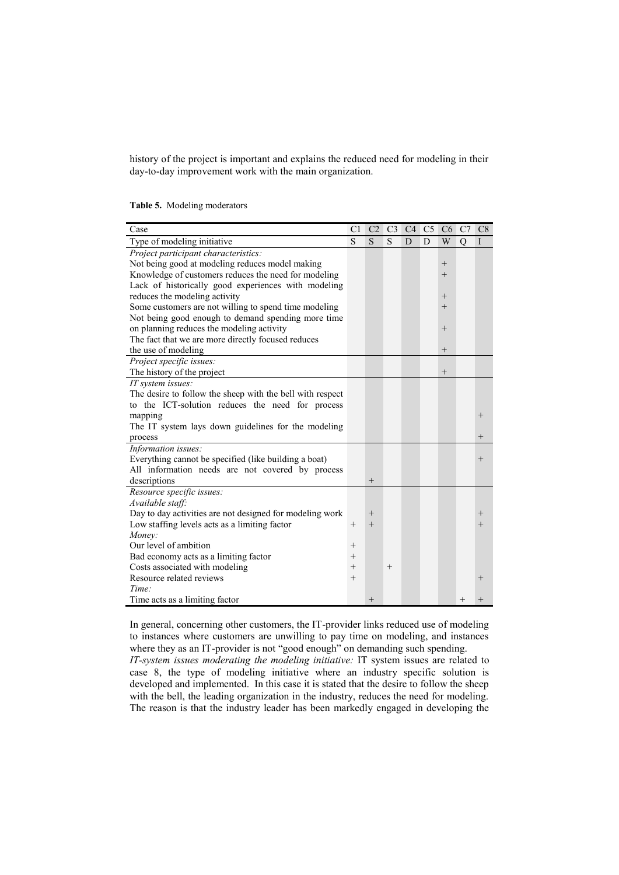history of the project is important and explains the reduced need for modeling in their day-to-day improvement work with the main organization.

| Case                                                      | C <sub>1</sub> | C <sub>2</sub> | C3     |   | C <sub>4</sub> C <sub>5</sub> C <sub>6</sub> |        | C7     | C8     |
|-----------------------------------------------------------|----------------|----------------|--------|---|----------------------------------------------|--------|--------|--------|
| Type of modeling initiative                               | S              | S              | S      | D | D                                            | W      | Q      | I      |
| Project participant characteristics:                      |                |                |        |   |                                              |        |        |        |
| Not being good at modeling reduces model making           |                |                |        |   |                                              | $^+$   |        |        |
| Knowledge of customers reduces the need for modeling      |                |                |        |   |                                              | $^{+}$ |        |        |
| Lack of historically good experiences with modeling       |                |                |        |   |                                              |        |        |        |
| reduces the modeling activity                             |                |                |        |   |                                              | $^{+}$ |        |        |
| Some customers are not willing to spend time modeling     |                |                |        |   |                                              | $^{+}$ |        |        |
| Not being good enough to demand spending more time        |                |                |        |   |                                              |        |        |        |
| on planning reduces the modeling activity                 |                |                |        |   |                                              | $^{+}$ |        |        |
| The fact that we are more directly focused reduces        |                |                |        |   |                                              |        |        |        |
| the use of modeling                                       |                |                |        |   |                                              | $^{+}$ |        |        |
| Project specific issues:                                  |                |                |        |   |                                              |        |        |        |
| The history of the project                                |                |                |        |   |                                              | $^{+}$ |        |        |
| IT system issues:                                         |                |                |        |   |                                              |        |        |        |
| The desire to follow the sheep with the bell with respect |                |                |        |   |                                              |        |        |        |
| to the ICT-solution reduces the need for process          |                |                |        |   |                                              |        |        |        |
| mapping                                                   |                |                |        |   |                                              |        |        | $^{+}$ |
| The IT system lays down guidelines for the modeling       |                |                |        |   |                                              |        |        |        |
| process                                                   |                |                |        |   |                                              |        |        | $^{+}$ |
| Information issues:                                       |                |                |        |   |                                              |        |        |        |
| Everything cannot be specified (like building a boat)     |                |                |        |   |                                              |        |        | $^{+}$ |
| All information needs are not covered by process          |                |                |        |   |                                              |        |        |        |
| descriptions                                              |                | $^{+}$         |        |   |                                              |        |        |        |
| Resource specific issues:                                 |                |                |        |   |                                              |        |        |        |
| Available staff:                                          |                |                |        |   |                                              |        |        |        |
| Day to day activities are not designed for modeling work  |                | $^{+}$         |        |   |                                              |        |        | $^+$   |
| Low staffing levels acts as a limiting factor             | $^+$           | $^{+}$         |        |   |                                              |        |        | $^{+}$ |
| Money:                                                    |                |                |        |   |                                              |        |        |        |
| Our level of ambition                                     | $^{+}$         |                |        |   |                                              |        |        |        |
| Bad economy acts as a limiting factor                     | $^{+}$         |                |        |   |                                              |        |        |        |
| Costs associated with modeling                            | $^{+}$         |                | $^{+}$ |   |                                              |        |        |        |
| Resource related reviews                                  | $^{+}$         |                |        |   |                                              |        |        | $^{+}$ |
| Time:                                                     |                |                |        |   |                                              |        |        |        |
| Time acts as a limiting factor                            |                | $^{+}$         |        |   |                                              |        | $^{+}$ |        |

In general, concerning other customers, the IT-provider links reduced use of modeling to instances where customers are unwilling to pay time on modeling, and instances where they as an IT-provider is not "good enough" on demanding such spending.

*IT-system issues moderating the modeling initiative:* IT system issues are related to case 8, the type of modeling initiative where an industry specific solution is developed and implemented. In this case it is stated that the desire to follow the sheep with the bell, the leading organization in the industry, reduces the need for modeling. The reason is that the industry leader has been markedly engaged in developing the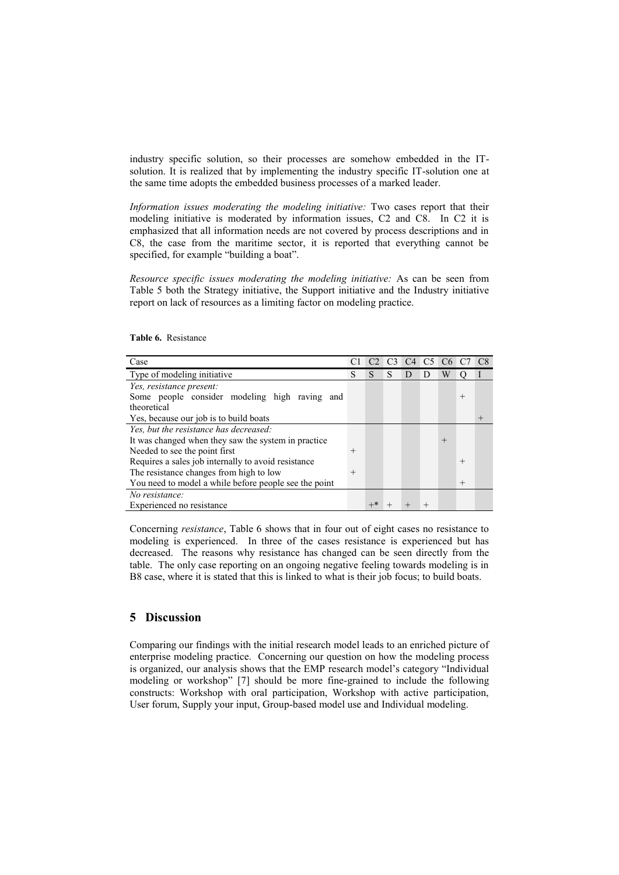industry specific solution, so their processes are somehow embedded in the ITsolution. It is realized that by implementing the industry specific IT-solution one at the same time adopts the embedded business processes of a marked leader.

*Information issues moderating the modeling initiative:* Two cases report that their modeling initiative is moderated by information issues, C2 and C8. In C2 it is emphasized that all information needs are not covered by process descriptions and in C8, the case from the maritime sector, it is reported that everything cannot be specified, for example "building a boat".

*Resource specific issues moderating the modeling initiative:* As can be seen from Table 5 both the Strategy initiative, the Support initiative and the Industry initiative report on lack of resources as a limiting factor on modeling practice.

| Case                                                  |        | C2 |   |              | C3 C4 C5 C6 C7 |        |        |  |
|-------------------------------------------------------|--------|----|---|--------------|----------------|--------|--------|--|
| Type of modeling initiative                           | S      | S  | S | $\mathsf{D}$ |                | W      |        |  |
| Yes, resistance present:                              |        |    |   |              |                |        |        |  |
| Some people consider modeling high raving and         |        |    |   |              |                |        | $^{+}$ |  |
| theoretical                                           |        |    |   |              |                |        |        |  |
| Yes, because our job is to build boats                |        |    |   |              |                |        |        |  |
| Yes, but the resistance has decreased:                |        |    |   |              |                |        |        |  |
| It was changed when they saw the system in practice   |        |    |   |              |                | $^{+}$ |        |  |
| Needed to see the point first                         | $^{+}$ |    |   |              |                |        |        |  |
| Requires a sales job internally to avoid resistance   |        |    |   |              |                |        | $^{+}$ |  |
| The resistance changes from high to low               | $^{+}$ |    |   |              |                |        |        |  |
| You need to model a while before people see the point |        |    |   |              |                |        | $^{+}$ |  |
| No resistance:                                        |        |    |   |              |                |        |        |  |
| Experienced no resistance                             |        |    |   |              |                |        |        |  |

**Table 6.** Resistance

Concerning *resistance*, Table 6 shows that in four out of eight cases no resistance to modeling is experienced. In three of the cases resistance is experienced but has decreased. The reasons why resistance has changed can be seen directly from the table. The only case reporting on an ongoing negative feeling towards modeling is in B8 case, where it is stated that this is linked to what is their job focus; to build boats.

# **5 Discussion**

Comparing our findings with the initial research model leads to an enriched picture of enterprise modeling practice. Concerning our question on how the modeling process is organized, our analysis shows that the EMP research model's category "Individual modeling or workshop" [7] should be more fine-grained to include the following constructs: Workshop with oral participation, Workshop with active participation, User forum, Supply your input, Group-based model use and Individual modeling.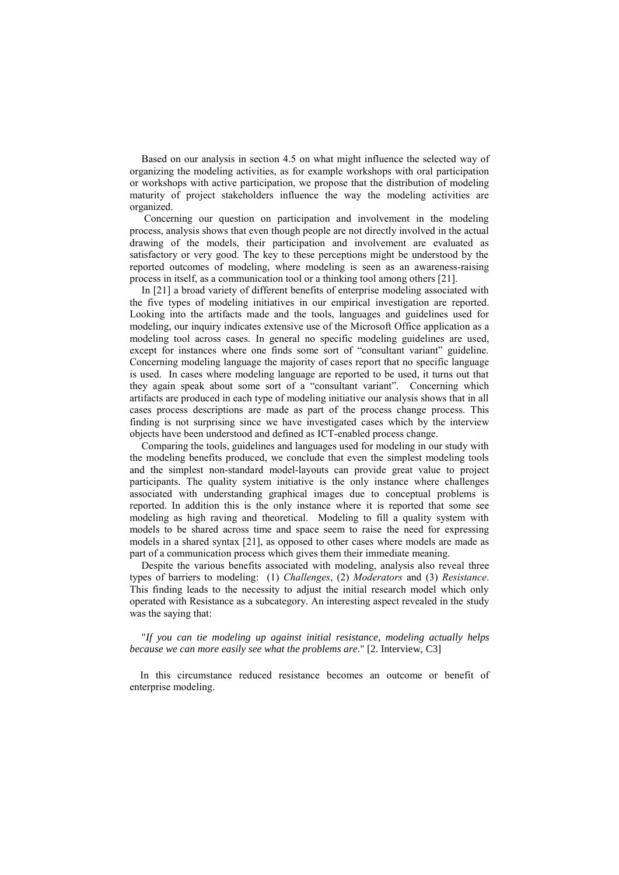Based on our analysis in section 4.5 on what might influence the selected way of organizing the modeling activities, as for example workshops with oral participation or workshops with active participation, we propose that the distribution of modeling maturity of project stakeholders influence the way the modeling activities are organized.

Concerning our question on participation and involvement in the modeling process, analysis shows that even though people are not directly involved in the actual drawing of the models, their participation and involvement are evaluated as satisfactory or very good. The key to these perceptions might be understood by the reported outcomes of modeling, where modeling is seen as an awareness-raising process in itself, as a communication tool or a thinking tool among others [21].

In [21] a broad variety of different benefits of enterprise modeling associated with the five types of modeling initiatives in our empirical investigation are reported. Looking into the artifacts made and the tools, languages and guidelines used for modeling, our inquiry indicates extensive use of the Microsoft Office application as a modeling tool across cases. In general no specific modeling guidelines are used, except for instances where one finds some sort of "consultant variant" guideline. Concerning modeling language the majority of cases report that no specific language is used. In cases where modeling language are reported to be used, it turns out that they again speak about some sort of a "consultant variant". Concerning which artifacts are produced in each type of modeling initiative our analysis shows that in all cases process descriptions are made as part of the process change process. This finding is not surprising since we have investigated cases which by the interview objects have been understood and defined as ICT-enabled process change.

Comparing the tools, guidelines and languages used for modeling in our study with the modeling benefits produced, we conclude that even the simplest modeling tools and the simplest non-standard model-layouts can provide great value to project participants. The quality system initiative is the only instance where challenges associated with understanding graphical images due to conceptual problems is reported. In addition this is the only instance where it is reported that some see modeling as high raving and theoretical. Modeling to fill a quality system with models to be shared across time and space seem to raise the need for expressing models in a shared syntax [21], as opposed to other cases where models are made as part of a communication process which gives them their immediate meaning.

Despite the various benefits associated with modeling, analysis also reveal three types of barriers to modeling: (1) *Challenges*, (2) *Moderators* and (3) *Resistance*. This finding leads to the necessity to adjust the initial research model which only operated with Resistance as a subcategory. An interesting aspect revealed in the study was the saying that:

"*If you can tie modeling up against initial resistance, modeling actually helps because we can more easily see what the problems are*." [2. Interview, C3]

 In this circumstance reduced resistance becomes an outcome or benefit of enterprise modeling.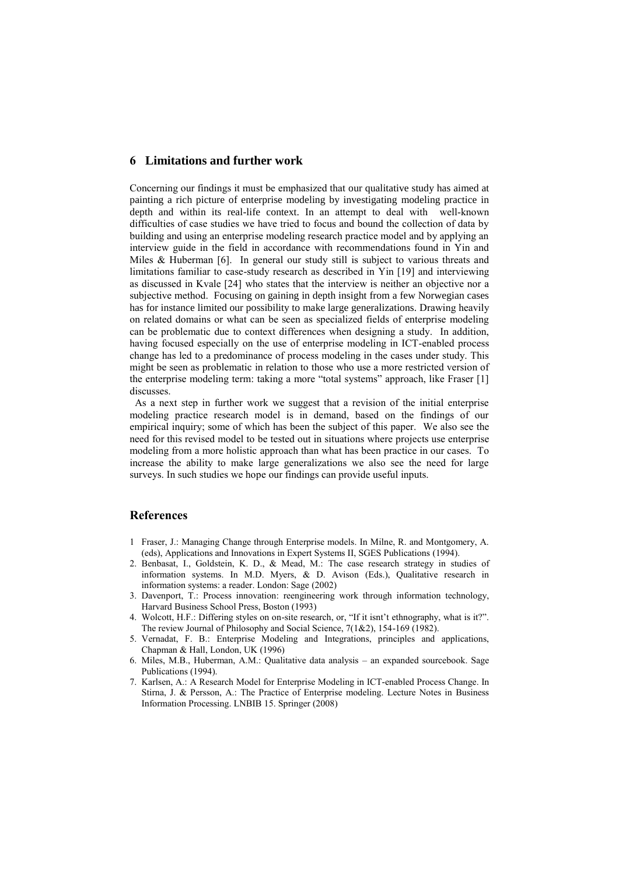## **6 Limitations and further work**

Concerning our findings it must be emphasized that our qualitative study has aimed at painting a rich picture of enterprise modeling by investigating modeling practice in depth and within its real-life context. In an attempt to deal with well-known difficulties of case studies we have tried to focus and bound the collection of data by building and using an enterprise modeling research practice model and by applying an interview guide in the field in accordance with recommendations found in Yin and Miles & Huberman [6]. In general our study still is subject to various threats and limitations familiar to case-study research as described in Yin [19] and interviewing as discussed in Kvale [24] who states that the interview is neither an objective nor a subjective method. Focusing on gaining in depth insight from a few Norwegian cases has for instance limited our possibility to make large generalizations. Drawing heavily on related domains or what can be seen as specialized fields of enterprise modeling can be problematic due to context differences when designing a study. In addition, having focused especially on the use of enterprise modeling in ICT-enabled process change has led to a predominance of process modeling in the cases under study. This might be seen as problematic in relation to those who use a more restricted version of the enterprise modeling term: taking a more "total systems" approach, like Fraser [1] discusses.

 As a next step in further work we suggest that a revision of the initial enterprise modeling practice research model is in demand, based on the findings of our empirical inquiry; some of which has been the subject of this paper. We also see the need for this revised model to be tested out in situations where projects use enterprise modeling from a more holistic approach than what has been practice in our cases. To increase the ability to make large generalizations we also see the need for large surveys. In such studies we hope our findings can provide useful inputs.

#### **References**

- 1 Fraser, J.: Managing Change through Enterprise models. In Milne, R. and Montgomery, A. (eds), Applications and Innovations in Expert Systems II, SGES Publications (1994).
- 2. Benbasat, I., Goldstein, K. D., & Mead, M.: The case research strategy in studies of information systems. In M.D. Myers, & D. Avison (Eds.), Qualitative research in information systems: a reader. London: Sage (2002)
- 3. Davenport, T.: Process innovation: reengineering work through information technology, Harvard Business School Press, Boston (1993)
- 4. Wolcott, H.F.: Differing styles on on-site research, or, "If it isnt't ethnography, what is it?". The review Journal of Philosophy and Social Science, 7(1&2), 154-169 (1982).
- 5. Vernadat, F. B.: Enterprise Modeling and Integrations, principles and applications, Chapman & Hall, London, UK (1996)
- 6. Miles, M.B., Huberman, A.M.: Qualitative data analysis an expanded sourcebook. Sage Publications (1994).
- 7. Karlsen, A.: A Research Model for Enterprise Modeling in ICT-enabled Process Change. In Stirna, J. & Persson, A.: The Practice of Enterprise modeling. Lecture Notes in Business Information Processing. LNBIB 15. Springer (2008)